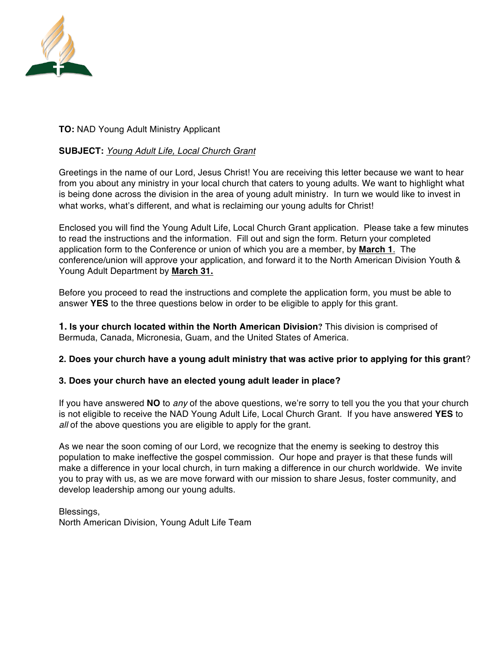

#### **TO:** NAD Young Adult Ministry Applicant

#### **SUBJECT:** *Young Adult Life, Local Church Grant*

Greetings in the name of our Lord, Jesus Christ! You are receiving this letter because we want to hear from you about any ministry in your local church that caters to young adults. We want to highlight what is being done across the division in the area of young adult ministry. In turn we would like to invest in what works, what's different, and what is reclaiming our young adults for Christ!

Enclosed you will find the Young Adult Life, Local Church Grant application. Please take a few minutes to read the instructions and the information. Fill out and sign the form. Return your completed application form to the Conference or union of which you are a member, by **March 1**. The conference/union will approve your application, and forward it to the North American Division Youth & Young Adult Department by **March 31.**

Before you proceed to read the instructions and complete the application form, you must be able to answer **YES** to the three questions below in order to be eligible to apply for this grant.

**1. Is your church located within the North American Division?** This division is comprised of Bermuda, Canada, Micronesia, Guam, and the United States of America.

#### **2. Does your church have a young adult ministry that was active prior to applying for this grant**?

#### **3. Does your church have an elected young adult leader in place?**

If you have answered **NO** to *any* of the above questions, we're sorry to tell you the you that your church is not eligible to receive the NAD Young Adult Life, Local Church Grant. If you have answered **YES** to *all* of the above questions you are eligible to apply for the grant.

As we near the soon coming of our Lord, we recognize that the enemy is seeking to destroy this population to make ineffective the gospel commission. Our hope and prayer is that these funds will make a difference in your local church, in turn making a difference in our church worldwide. We invite you to pray with us, as we are move forward with our mission to share Jesus, foster community, and develop leadership among our young adults.

Blessings, North American Division, Young Adult Life Team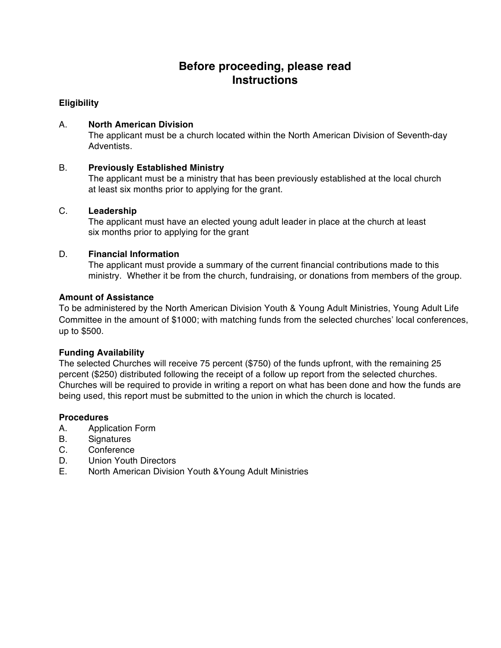## **Before proceeding, please read Instructions**

#### **Eligibility**

#### A. **North American Division**

The applicant must be a church located within the North American Division of Seventh-day Adventists.

#### B. **Previously Established Ministry**

The applicant must be a ministry that has been previously established at the local church at least six months prior to applying for the grant.

#### C. **Leadership**

The applicant must have an elected young adult leader in place at the church at least six months prior to applying for the grant

#### D. **Financial Information**

The applicant must provide a summary of the current financial contributions made to this ministry. Whether it be from the church, fundraising, or donations from members of the group.

#### **Amount of Assistance**

To be administered by the North American Division Youth & Young Adult Ministries, Young Adult Life Committee in the amount of \$1000; with matching funds from the selected churches' local conferences, up to \$500.

#### **Funding Availability**

The selected Churches will receive 75 percent (\$750) of the funds upfront, with the remaining 25 percent (\$250) distributed following the receipt of a follow up report from the selected churches. Churches will be required to provide in writing a report on what has been done and how the funds are being used, this report must be submitted to the union in which the church is located.

#### **Procedures**

- A. Application Form
- B. Signatures
- C. Conference
- D. Union Youth Directors
- E. North American Division Youth &Young Adult Ministries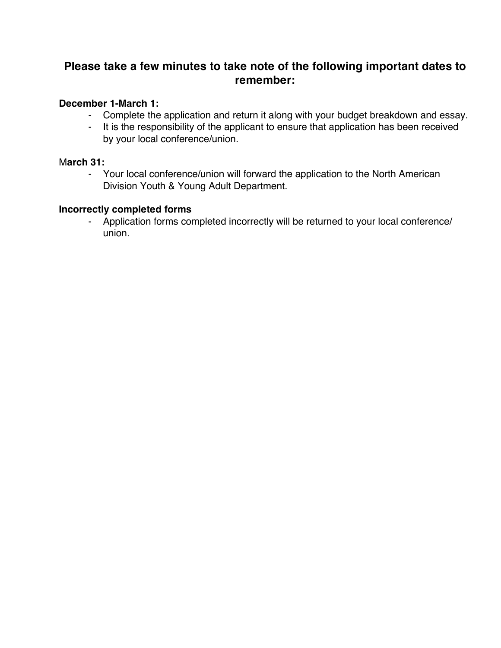## **Please take a few minutes to take note of the following important dates to remember:**

## **December 1-March 1:**

- Complete the application and return it along with your budget breakdown and essay.
- It is the responsibility of the applicant to ensure that application has been received by your local conference/union.

## M**arch 31:**

- Your local conference/union will forward the application to the North American Division Youth & Young Adult Department.

## **Incorrectly completed forms**

- Application forms completed incorrectly will be returned to your local conference/ union.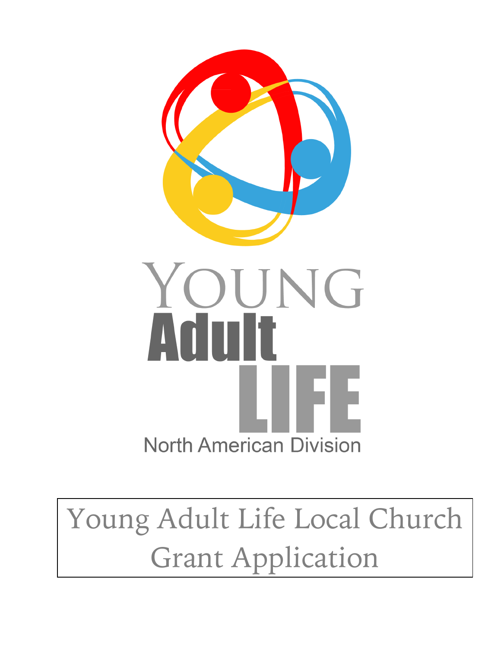

# Young Adult Life Local Church Grant Application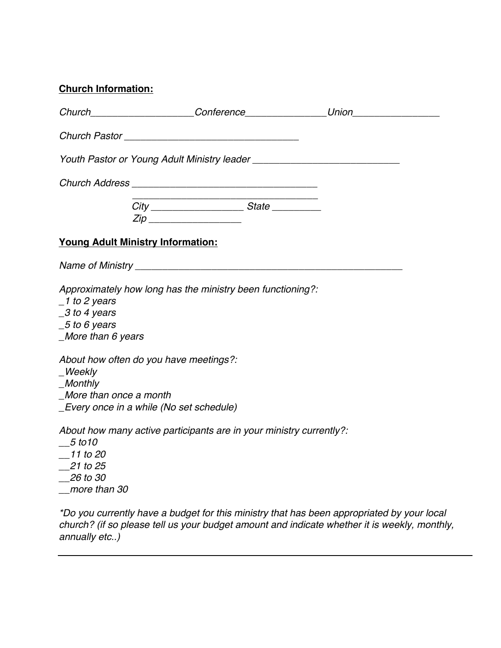| <b>Church Information:</b> |
|----------------------------|
|                            |

|                                                                                                                                | Zip _____________________                                                                                                                        |                                                                                                                                                                                          |
|--------------------------------------------------------------------------------------------------------------------------------|--------------------------------------------------------------------------------------------------------------------------------------------------|------------------------------------------------------------------------------------------------------------------------------------------------------------------------------------------|
| <b>Young Adult Ministry Information:</b>                                                                                       |                                                                                                                                                  |                                                                                                                                                                                          |
|                                                                                                                                |                                                                                                                                                  |                                                                                                                                                                                          |
| $\_1$ to 2 years<br>$-3$ to 4 years<br>$-5$ to 6 years<br>$More$ than 6 years<br>_Weekly<br>_Monthly<br>More than once a month | Approximately how long has the ministry been functioning?:<br>About how often do you have meetings?:<br>_Every once in a while (No set schedule) |                                                                                                                                                                                          |
| 5 to 10<br>$-11$ to 20<br>$\_$ 21 to 25<br>$\_\$ {26} to 30<br>_more than 30                                                   | About how many active participants are in your ministry currently?:                                                                              |                                                                                                                                                                                          |
|                                                                                                                                |                                                                                                                                                  | *Do you currently have a budget for this ministry that has been appropriated by your local<br>church? (if so please toll us your budget amount and indicate whather it is wookly, monthl |

*church? (if so please tell us your budget amount and indicate whether it is weekly, monthly, annually etc..)*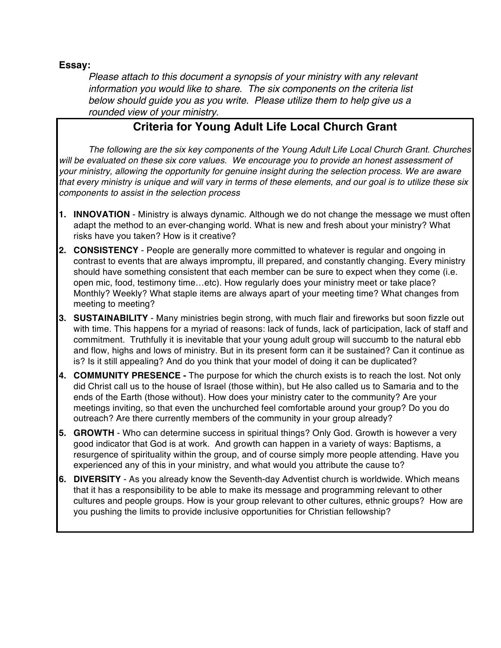**Essay:**

*Please attach to this document a synopsis of your ministry with any relevant information you would like to share. The six components on the criteria list below should guide you as you write. Please utilize them to help give us a rounded view of your ministry.*

## **Criteria for Young Adult Life Local Church Grant**

*The following are the six key components of the Young Adult Life Local Church Grant. Churches will be evaluated on these six core values. We encourage you to provide an honest assessment of your ministry, allowing the opportunity for genuine insight during the selection process. We are aware* that every ministry is unique and will vary in terms of these elements, and our goal is to utilize these six *components to assist in the selection process*

- **1. INNOVATION** Ministry is always dynamic. Although we do not change the message we must often adapt the method to an ever-changing world. What is new and fresh about your ministry? What risks have you taken? How is it creative?
- **2. CONSISTENCY** People are generally more committed to whatever is regular and ongoing in contrast to events that are always impromptu, ill prepared, and constantly changing. Every ministry should have something consistent that each member can be sure to expect when they come (i.e. open mic, food, testimony time…etc). How regularly does your ministry meet or take place? Monthly? Weekly? What staple items are always apart of your meeting time? What changes from meeting to meeting?
- **3. SUSTAINABILITY** Many ministries begin strong, with much flair and fireworks but soon fizzle out with time. This happens for a myriad of reasons: lack of funds, lack of participation, lack of staff and commitment. Truthfully it is inevitable that your young adult group will succumb to the natural ebb and flow, highs and lows of ministry. But in its present form can it be sustained? Can it continue as is? Is it still appealing? And do you think that your model of doing it can be duplicated?
- **4. COMMUNITY PRESENCE -** The purpose for which the church exists is to reach the lost. Not only did Christ call us to the house of Israel (those within), but He also called us to Samaria and to the ends of the Earth (those without). How does your ministry cater to the community? Are your meetings inviting, so that even the unchurched feel comfortable around your group? Do you do outreach? Are there currently members of the community in your group already?
- **5. GROWTH** Who can determine success in spiritual things? Only God. Growth is however a very good indicator that God is at work. And growth can happen in a variety of ways: Baptisms, a resurgence of spirituality within the group, and of course simply more people attending. Have you experienced any of this in your ministry, and what would you attribute the cause to?
- **6. DIVERSITY** As you already know the Seventh-day Adventist church is worldwide. Which means that it has a responsibility to be able to make its message and programming relevant to other cultures and people groups. How is your group relevant to other cultures, ethnic groups? How are you pushing the limits to provide inclusive opportunities for Christian fellowship?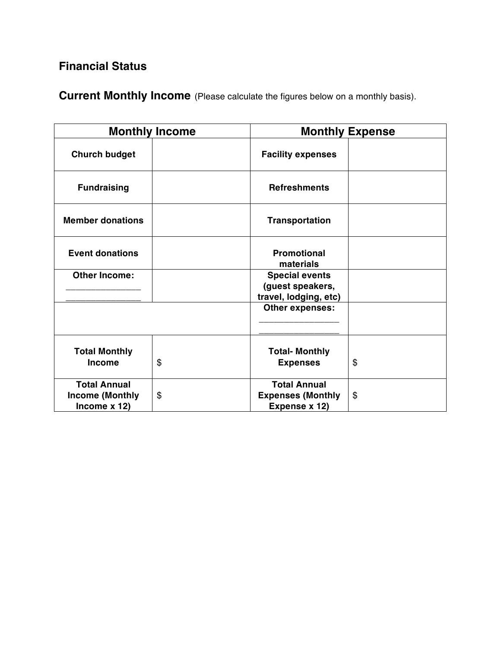# **Financial Status**

**Current Monthly Income** (Please calculate the figures below on a monthly basis).

|                                                                 | <b>Monthly Income</b> |                                                                    | <b>Monthly Expense</b> |
|-----------------------------------------------------------------|-----------------------|--------------------------------------------------------------------|------------------------|
| <b>Church budget</b>                                            |                       | <b>Facility expenses</b>                                           |                        |
| <b>Fundraising</b>                                              |                       | <b>Refreshments</b>                                                |                        |
| <b>Member donations</b>                                         |                       | <b>Transportation</b>                                              |                        |
| <b>Event donations</b>                                          |                       | <b>Promotional</b><br>materials                                    |                        |
| <b>Other Income:</b>                                            |                       | <b>Special events</b><br>(guest speakers,<br>travel, lodging, etc) |                        |
|                                                                 |                       | Other expenses:                                                    |                        |
| <b>Total Monthly</b><br><b>Income</b>                           | \$                    | <b>Total- Monthly</b><br><b>Expenses</b>                           | \$                     |
| <b>Total Annual</b><br><b>Income (Monthly</b><br>Income $x$ 12) | \$                    | <b>Total Annual</b><br><b>Expenses (Monthly</b><br>Expense x 12)   | \$                     |